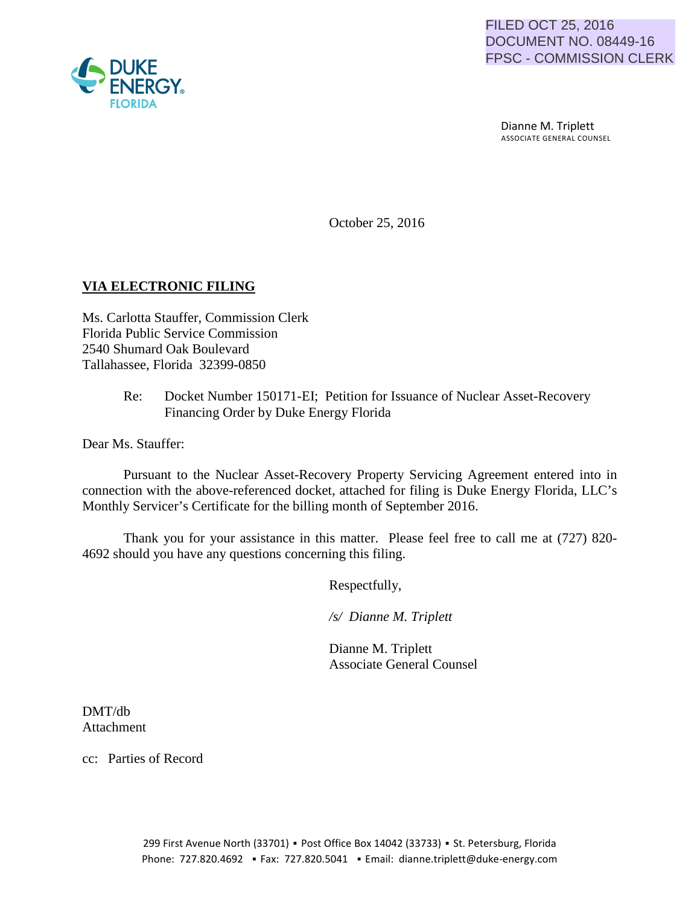

 Dianne M. Triplett ASSOCIATE GENERAL COUNSEL

October 25, 2016

# **VIA ELECTRONIC FILING**

Ms. Carlotta Stauffer, Commission Clerk Florida Public Service Commission 2540 Shumard Oak Boulevard Tallahassee, Florida 32399-0850

> Re: Docket Number 150171-EI; Petition for Issuance of Nuclear Asset-Recovery Financing Order by Duke Energy Florida

Dear Ms. Stauffer:

Pursuant to the Nuclear Asset-Recovery Property Servicing Agreement entered into in connection with the above-referenced docket, attached for filing is Duke Energy Florida, LLC's Monthly Servicer's Certificate for the billing month of September 2016.

Thank you for your assistance in this matter. Please feel free to call me at (727) 820- 4692 should you have any questions concerning this filing.

Respectfully,

 */s/ Dianne M. Triplett*

 Dianne M. Triplett Associate General Counsel

DMT/db Attachment

cc: Parties of Record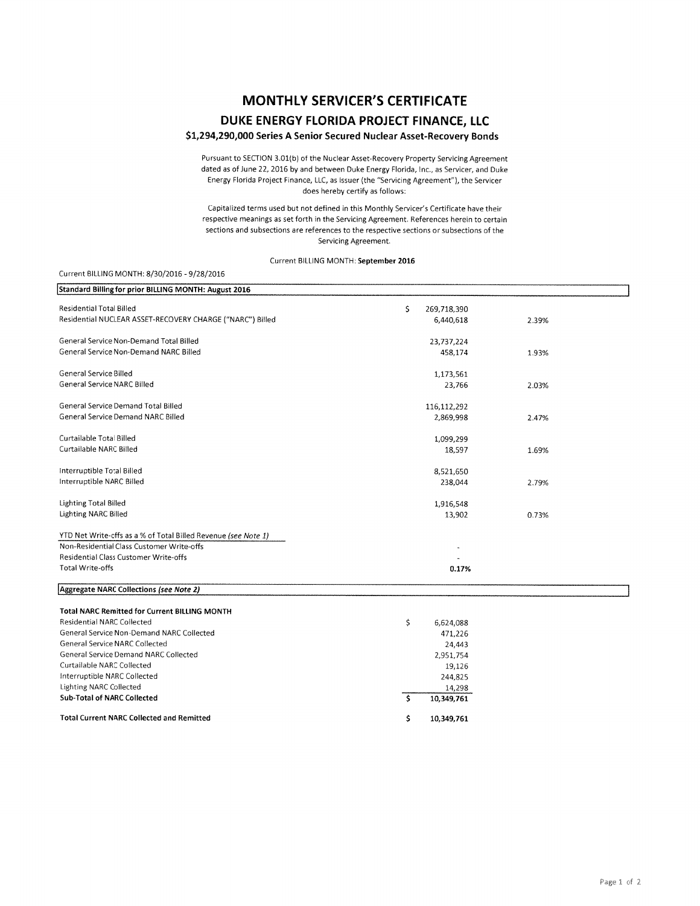## **MONTHLY SERVICER'S CERTIFICATE DUKE ENERGY FLORIDA PROJECT FINANCE, llC**

### **\$1,294,290,000 Series A Senior Secured Nuclear Asset-Recovery Bonds**

Pursuant to SECTION 3.01(b) ot the Nuclear Asset-Recovery Property Servicing Agreement dated as of June 22, 2016 by and between Duke Energy Florida, Inc., as Servicer, and Duke Energy Florida Project Finance, LLC, as Issuer (the "Servicing Agreement"), the Servicer does hereby certify as follows:

Capitalized terms used but not defined in this Monthly Servicer's Certificate have their respective meanings as set forth in the Servicing Agreement. References herein to certain sections and subsections are references to the respective sections or subsections of the Servicing Agreement.

#### Current BILLING MONTH: **September 2016**

#### Current BILLING MONTH: 8/30/2016-9/28/2016

| Standard Billing for prior BILLING MONTH: August 2016          |                   |       |
|----------------------------------------------------------------|-------------------|-------|
| <b>Residential Total Billed</b>                                | \$<br>269,718,390 |       |
| Residential NUCLEAR ASSET-RECOVERY CHARGE ("NARC") Billed      | 6,440,618         | 2.39% |
|                                                                |                   |       |
| General Service Non-Demand Total Billed                        | 23,737,224        |       |
| General Service Non-Demand NARC Billed                         | 458,174           | 1.93% |
| General Service Billed                                         | 1,173,561         |       |
| <b>General Service NARC Billed</b>                             | 23,766            |       |
|                                                                |                   | 2.03% |
| General Service Demand Total Billed                            | 116,112,292       |       |
| General Service Demand NARC Billed                             | 2,869,998         | 2.47% |
|                                                                |                   |       |
| Curtailable Total Billed                                       | 1,099,299         |       |
| Curtailable NARC Billed                                        | 18,597            | 1.69% |
| Interruptible Total Billed                                     | 8,521,650         |       |
| Interruptible NARC Billed                                      | 238,044           | 2.79% |
|                                                                |                   |       |
| <b>Lighting Total Billed</b>                                   | 1,916,548         |       |
| <b>Lighting NARC Billed</b>                                    | 13,902            | 0.73% |
| YTD Net Write-offs as a % of Total Billed Revenue (see Note 1) |                   |       |
| Non-Residential Class Customer Write-offs                      |                   |       |
| Residential Class Customer Write-offs                          |                   |       |
| <b>Total Write-offs</b>                                        | 0.17%             |       |
| Aggregate NARC Collections (see Note 2)                        |                   |       |
| <b>Total NARC Remitted for Current BILLING MONTH</b>           |                   |       |
| <b>Residential NARC Collected</b>                              | \$<br>6,624,088   |       |
| General Service Non-Demand NARC Collected                      | 471,226           |       |
| <b>General Service NARC Collected</b>                          | 24,443            |       |
| <b>General Service Demand NARC Collected</b>                   | 2,951,754         |       |
| <b>Curtailable NARC Collected</b>                              | 19,126            |       |
| Interruptible NARC Collected                                   | 244,825           |       |
| <b>Lighting NARC Collected</b>                                 | 14,298            |       |
| <b>Sub-Total of NARC Collected</b>                             | \$<br>10,349,761  |       |
| <b>Total Current NARC Collected and Remitted</b>               | \$<br>10,349,761  |       |